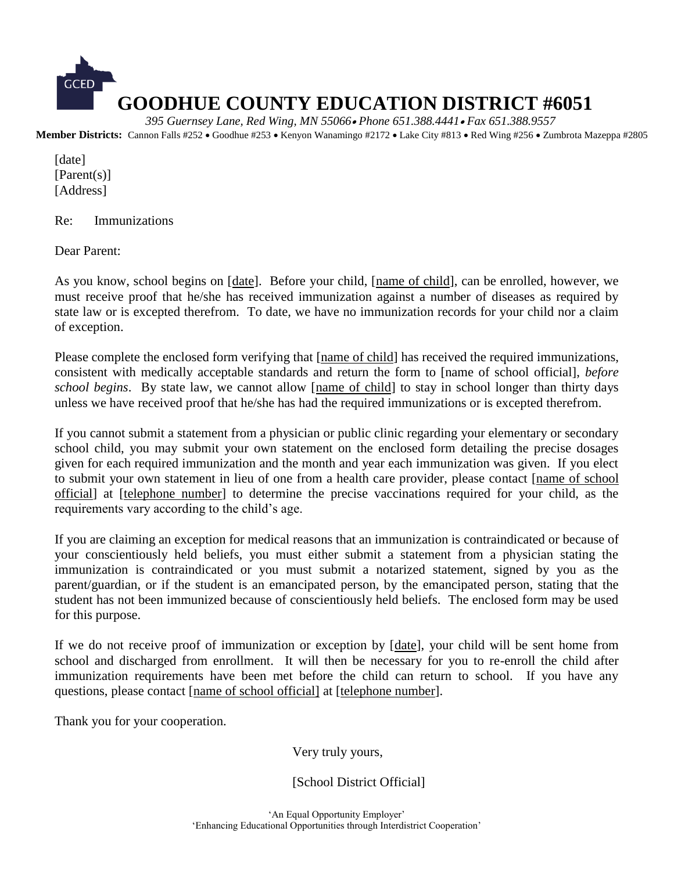

 *395 Guernsey Lane, Red Wing, MN 55066 Phone 651.388.4441 Fax 651.388.9557* **Member Districts:** Cannon Falls #252 • Goodhue #253 • Kenyon Wanamingo #2172 • Lake City #813 • Red Wing #256 • Zumbrota Mazeppa #2805

[date] [Parent(s)] [Address]

Re: Immunizations

Dear Parent:

As you know, school begins on [date]. Before your child, [name of child], can be enrolled, however, we must receive proof that he/she has received immunization against a number of diseases as required by state law or is excepted therefrom. To date, we have no immunization records for your child nor a claim of exception.

Please complete the enclosed form verifying that [name of child] has received the required immunizations, consistent with medically acceptable standards and return the form to [name of school official], *before school begins*. By state law, we cannot allow [name of child] to stay in school longer than thirty days unless we have received proof that he/she has had the required immunizations or is excepted therefrom.

If you cannot submit a statement from a physician or public clinic regarding your elementary or secondary school child, you may submit your own statement on the enclosed form detailing the precise dosages given for each required immunization and the month and year each immunization was given. If you elect to submit your own statement in lieu of one from a health care provider, please contact [name of school official] at [telephone number] to determine the precise vaccinations required for your child, as the requirements vary according to the child's age.

If you are claiming an exception for medical reasons that an immunization is contraindicated or because of your conscientiously held beliefs, you must either submit a statement from a physician stating the immunization is contraindicated or you must submit a notarized statement, signed by you as the parent/guardian, or if the student is an emancipated person, by the emancipated person, stating that the student has not been immunized because of conscientiously held beliefs. The enclosed form may be used for this purpose.

If we do not receive proof of immunization or exception by [date], your child will be sent home from school and discharged from enrollment. It will then be necessary for you to re-enroll the child after immunization requirements have been met before the child can return to school. If you have any questions, please contact [name of school official] at [telephone number].

Thank you for your cooperation.

Very truly yours,

[School District Official]